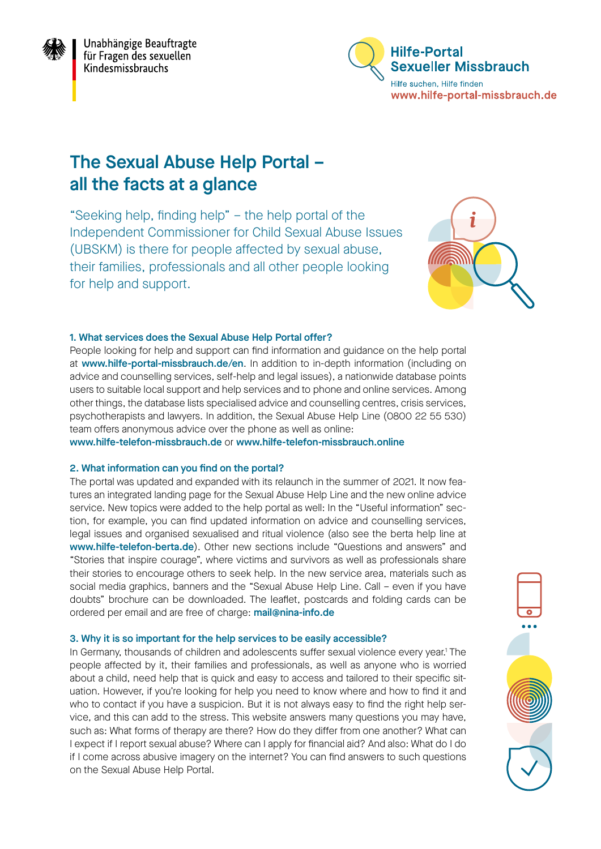<span id="page-0-0"></span>



# The Sexual Abuse Help Portal – all the facts at a glance

"Seeking help, finding help" – the help portal of the Independent Commissioner for Child Sexual Abuse Issues (UBSKM) is there for people affected by sexual abuse, their families, professionals and all other people looking for help and support.



### 1. What services does the Sexual Abuse Help Portal offer?

People looking for help and support can find information and guidance on the help portal at [www.hilfe-portal-missbrauch.de/en](http://www.hilfe-portal-missbrauch.de/en). In addition to in-depth information (including on advice and counselling services, self-help and legal issues), a nationwide database points users to suitable local support and help services and to phone and online services. Among other things, the database lists specialised advice and counselling centres, crisis services, psychotherapists and lawyers. In addition, the Sexual Abuse Help Line (0800 22 55 530) team offers anonymous advice over the phone as well as online:

[www.hilfe-telefon-missbrauch.de](http://www.hilfe-telefon-missbrauch.de) or [www.hilfe-telefon-missbrauch.online](http://www.hilfe-telefon-missbrauch.online)

## 2. What information can you find on the portal?

The portal was updated and expanded with its relaunch in the summer of 2021. It now features an integrated landing page for the Sexual Abuse Help Line and the new online advice service. New topics were added to the help portal as well: In the "Useful information" section, for example, you can find updated information on advice and counselling services, legal issues and organised sexualised and ritual violence (also see the berta help line at [www.hilfe-telefon-berta.de](http://www.hilfe-telefon-berta.de)). Other new sections include "Questions and answers" and "Stories that inspire courage", where victims and survivors as well as professionals share their stories to encourage others to seek help. In the new service area, materials such as social media graphics, banners and the "Sexual Abuse Help Line. Call – even if you have doubts" brochure can be downloaded. The leaflet, postcards and folding cards can be ordered per email and are free of charge: [mail@nina-info.de](mailto:mail%40nina-info.de?subject=)

#### 3. Why it is so important for the help services to be easily accessible?

In Germany, thousands of children and adolescents suffer sexual violence every year.<sup>1</sup> The people affected by it, their families and professionals, as well as anyone who is worried about a child, need help that is quick and easy to access and tailored to their specific situation. However, if you're looking for help you need to know where and how to find it and who to contact if you have a suspicion. But it is not always easy to find the right help service, and this can add to the stress. This website answers many questions you may have, such as: What forms of therapy are there? How do they differ from one another? What can I expect if I report sexual abuse? Where can I apply for financial aid? And also: What do I do if I come across abusive imagery on the internet? You can find answers to such questions on the Sexual Abuse Help Portal.